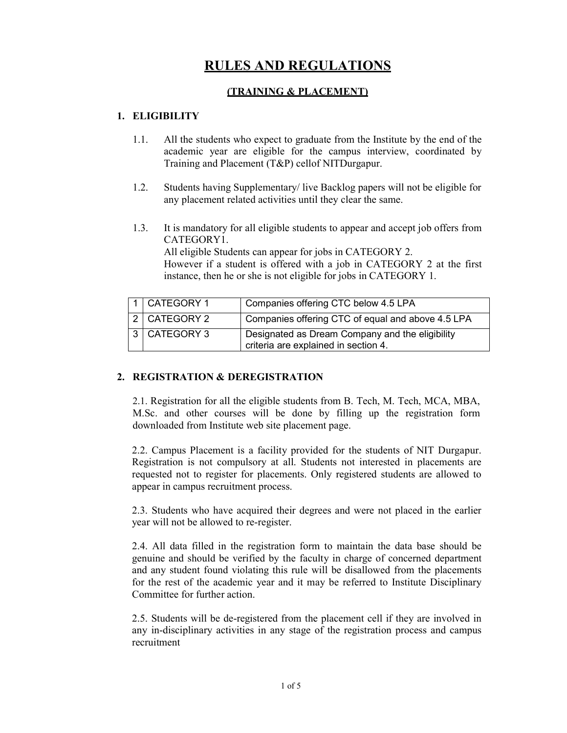# **RULES AND REGULATIONS**

## **(TRAINING & PLACEMENT)**

## **1. ELIGIBILITY**

- 1.1. All the students who expect to graduate from the Institute by the end of the academic year are eligible for the campus interview, coordinated by Training and Placement (T&P) cellof NITDurgapur.
- 1.2. Students having Supplementary/ live Backlog papers will not be eligible for any placement related activities until they clear the same.
- 1.3. It is mandatory for all eligible students to appear and accept job offers from CATEGORY1.

 All eligible Students can appear for jobs in CATEGORY 2. However if a student is offered with a job in CATEGORY 2 at the first instance, then he or she is not eligible for jobs in CATEGORY 1.

| 1 CATEGORY 1   | Companies offering CTC below 4.5 LPA                                                    |
|----------------|-----------------------------------------------------------------------------------------|
| 2 CATEGORY 2   | Companies offering CTC of equal and above 4.5 LPA                                       |
| 3   CATEGORY 3 | Designated as Dream Company and the eligibility<br>criteria are explained in section 4. |

## **2. REGISTRATION & DEREGISTRATION**

2.1. Registration for all the eligible students from B. Tech, M. Tech, MCA, MBA, M.Sc. and other courses will be done by filling up the registration form downloaded from Institute web site placement page.

2.2. Campus Placement is a facility provided for the students of NIT Durgapur. Registration is not compulsory at all. Students not interested in placements are requested not to register for placements. Only registered students are allowed to appear in campus recruitment process.

2.3. Students who have acquired their degrees and were not placed in the earlier year will not be allowed to re-register.

2.4. All data filled in the registration form to maintain the data base should be genuine and should be verified by the faculty in charge of concerned department and any student found violating this rule will be disallowed from the placements for the rest of the academic year and it may be referred to Institute Disciplinary Committee for further action.

2.5. Students will be de-registered from the placement cell if they are involved in any in-disciplinary activities in any stage of the registration process and campus recruitment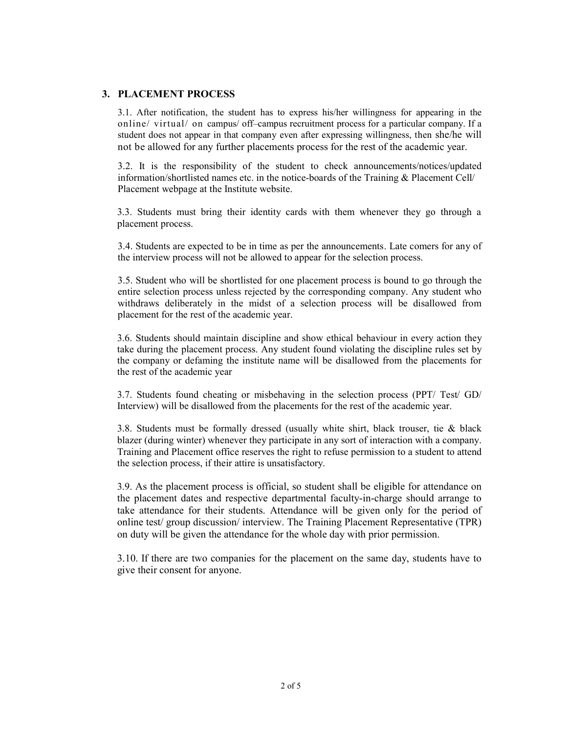#### **3. PLACEMENT PROCESS**

3.1. After notification, the student has to express his/her willingness for appearing in the online/ virtual/ on campus/ off–campus recruitment process for a particular company. If a student does not appear in that company even after expressing willingness, then she/he will not be allowed for any further placements process for the rest of the academic year.

3.2. It is the responsibility of the student to check announcements/notices/updated information/shortlisted names etc. in the notice-boards of the Training & Placement Cell/ Placement webpage at the Institute website.

3.3. Students must bring their identity cards with them whenever they go through a placement process.

3.4. Students are expected to be in time as per the announcements. Late comers for any of the interview process will not be allowed to appear for the selection process.

3.5. Student who will be shortlisted for one placement process is bound to go through the entire selection process unless rejected by the corresponding company. Any student who withdraws deliberately in the midst of a selection process will be disallowed from placement for the rest of the academic year.

3.6. Students should maintain discipline and show ethical behaviour in every action they take during the placement process. Any student found violating the discipline rules set by the company or defaming the institute name will be disallowed from the placements for the rest of the academic year

3.7. Students found cheating or misbehaving in the selection process (PPT/ Test/ GD/ Interview) will be disallowed from the placements for the rest of the academic year.

3.8. Students must be formally dressed (usually white shirt, black trouser, tie & black blazer (during winter) whenever they participate in any sort of interaction with a company. Training and Placement office reserves the right to refuse permission to a student to attend the selection process, if their attire is unsatisfactory.

3.9. As the placement process is official, so student shall be eligible for attendance on the placement dates and respective departmental faculty-in-charge should arrange to take attendance for their students. Attendance will be given only for the period of online test/ group discussion/ interview. The Training Placement Representative (TPR) on duty will be given the attendance for the whole day with prior permission.

3.10. If there are two companies for the placement on the same day, students have to give their consent for anyone.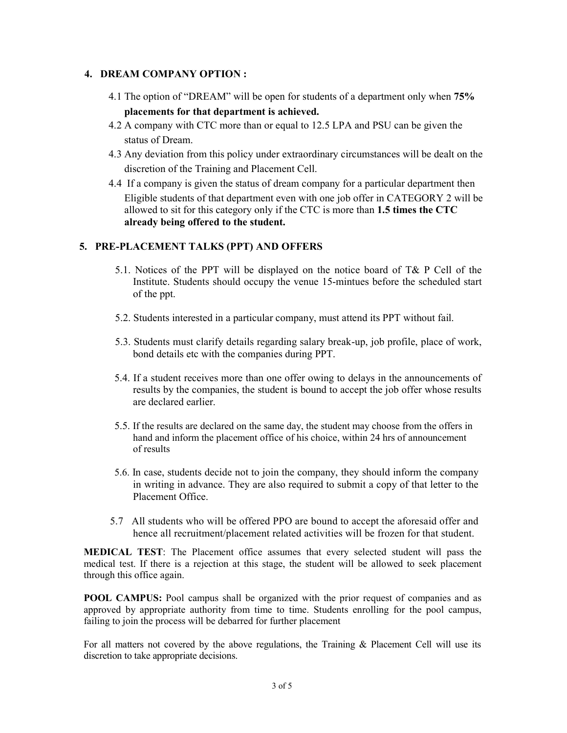#### **4. DREAM COMPANY OPTION :**

- 4.1 The option of "DREAM" will be open for students of a department only when **75% placements for that department is achieved.**
- 4.2 A company with CTC more than or equal to 12.5 LPA and PSU can be given the status of Dream.
- 4.3 Any deviation from this policy under extraordinary circumstances will be dealt on the discretion of the Training and Placement Cell.
- 4.4 If a company is given the status of dream company for a particular department then Eligible students of that department even with one job offer in CATEGORY 2 will be allowed to sit for this category only if the CTC is more than **1.5 times the CTC already being offered to the student.**

#### **5. PRE-PLACEMENT TALKS (PPT) AND OFFERS**

- 5.1. Notices of the PPT will be displayed on the notice board of T& P Cell of the Institute. Students should occupy the venue 15-mintues before the scheduled start of the ppt.
- 5.2. Students interested in a particular company, must attend its PPT without fail.
- 5.3. Students must clarify details regarding salary break-up, job profile, place of work, bond details etc with the companies during PPT.
- 5.4. If a student receives more than one offer owing to delays in the announcements of results by the companies, the student is bound to accept the job offer whose results are declared earlier.
- 5.5. If the results are declared on the same day, the student may choose from the offers in hand and inform the placement office of his choice, within 24 hrs of announcement of results
- 5.6. In case, students decide not to join the company, they should inform the company in writing in advance. They are also required to submit a copy of that letter to the Placement Office.
- 5.7 All students who will be offered PPO are bound to accept the aforesaid offer and hence all recruitment/placement related activities will be frozen for that student.

**MEDICAL TEST**: The Placement office assumes that every selected student will pass the medical test. If there is a rejection at this stage, the student will be allowed to seek placement through this office again.

**POOL CAMPUS:** Pool campus shall be organized with the prior request of companies and as approved by appropriate authority from time to time. Students enrolling for the pool campus, failing to join the process will be debarred for further placement

For all matters not covered by the above regulations, the Training & Placement Cell will use its discretion to take appropriate decisions.